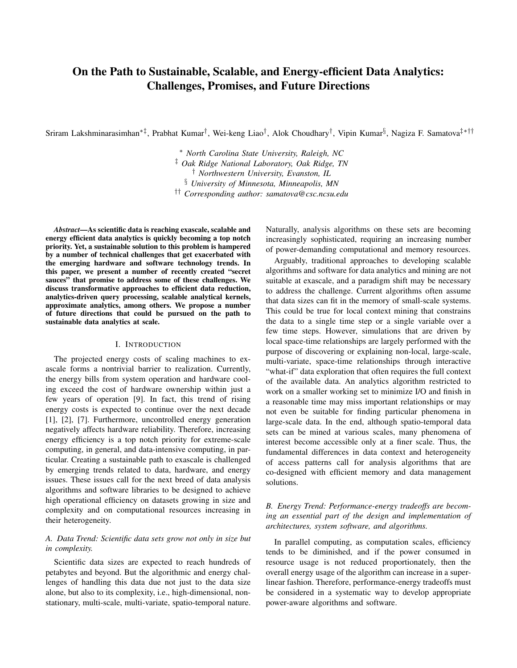# On the Path to Sustainable, Scalable, and Energy-efficient Data Analytics: Challenges, Promises, and Future Directions

Sriram Lakshminarasimhan∗‡, Prabhat Kumar† , Wei-keng Liao† , Alok Choudhary† , Vipin Kumar§ , Nagiza F. Samatova‡∗††

<sup>∗</sup> *North Carolina State University, Raleigh, NC* ‡ *Oak Ridge National Laboratory, Oak Ridge, TN* † *Northwestern University, Evanston, IL* § *University of Minnesota, Minneapolis, MN* †† *Corresponding author: samatova@csc.ncsu.edu*

*Abstract*—As scientific data is reaching exascale, scalable and energy efficient data analytics is quickly becoming a top notch priority. Yet, a sustainable solution to this problem is hampered by a number of technical challenges that get exacerbated with the emerging hardware and software technology trends. In this paper, we present a number of recently created "secret sauces" that promise to address some of these challenges. We discuss transformative approaches to efficient data reduction, analytics-driven query processing, scalable analytical kernels, approximate analytics, among others. We propose a number of future directions that could be pursued on the path to sustainable data analytics at scale.

#### I. INTRODUCTION

The projected energy costs of scaling machines to exascale forms a nontrivial barrier to realization. Currently, the energy bills from system operation and hardware cooling exceed the cost of hardware ownership within just a few years of operation [9]. In fact, this trend of rising energy costs is expected to continue over the next decade [1], [2], [7]. Furthermore, uncontrolled energy generation negatively affects hardware reliability. Therefore, increasing energy efficiency is a top notch priority for extreme-scale computing, in general, and data-intensive computing, in particular. Creating a sustainable path to exascale is challenged by emerging trends related to data, hardware, and energy issues. These issues call for the next breed of data analysis algorithms and software libraries to be designed to achieve high operational efficiency on datasets growing in size and complexity and on computational resources increasing in their heterogeneity.

### *A. Data Trend: Scientific data sets grow not only in size but in complexity.*

Scientific data sizes are expected to reach hundreds of petabytes and beyond. But the algorithmic and energy challenges of handling this data due not just to the data size alone, but also to its complexity, i.e., high-dimensional, nonstationary, multi-scale, multi-variate, spatio-temporal nature. Naturally, analysis algorithms on these sets are becoming increasingly sophisticated, requiring an increasing number of power-demanding computational and memory resources.

Arguably, traditional approaches to developing scalable algorithms and software for data analytics and mining are not suitable at exascale, and a paradigm shift may be necessary to address the challenge. Current algorithms often assume that data sizes can fit in the memory of small-scale systems. This could be true for local context mining that constrains the data to a single time step or a single variable over a few time steps. However, simulations that are driven by local space-time relationships are largely performed with the purpose of discovering or explaining non-local, large-scale, multi-variate, space-time relationships through interactive "what-if" data exploration that often requires the full context of the available data. An analytics algorithm restricted to work on a smaller working set to minimize I/O and finish in a reasonable time may miss important relationships or may not even be suitable for finding particular phenomena in large-scale data. In the end, although spatio-temporal data sets can be mined at various scales, many phenomena of interest become accessible only at a finer scale. Thus, the fundamental differences in data context and heterogeneity of access patterns call for analysis algorithms that are co-designed with efficient memory and data management solutions.

### *B. Energy Trend: Performance-energy tradeoffs are becoming an essential part of the design and implementation of architectures, system software, and algorithms.*

In parallel computing, as computation scales, efficiency tends to be diminished, and if the power consumed in resource usage is not reduced proportionately, then the overall energy usage of the algorithm can increase in a superlinear fashion. Therefore, performance-energy tradeoffs must be considered in a systematic way to develop appropriate power-aware algorithms and software.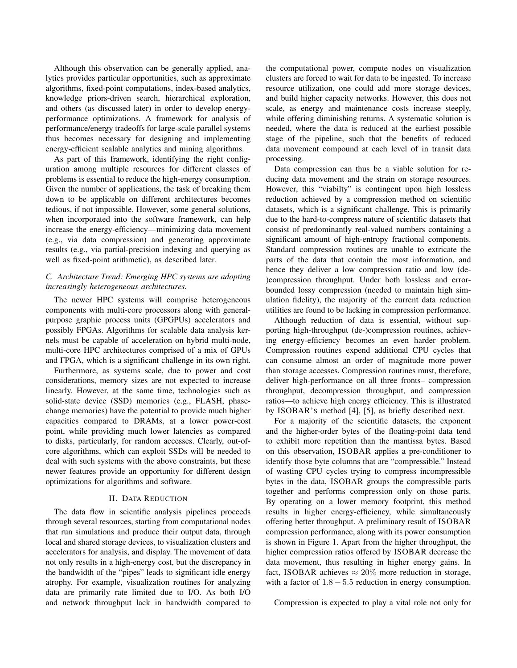Although this observation can be generally applied, analytics provides particular opportunities, such as approximate algorithms, fixed-point computations, index-based analytics, knowledge priors-driven search, hierarchical exploration, and others (as discussed later) in order to develop energyperformance optimizations. A framework for analysis of performance/energy tradeoffs for large-scale parallel systems thus becomes necessary for designing and implementing energy-efficient scalable analytics and mining algorithms.

As part of this framework, identifying the right configuration among multiple resources for different classes of problems is essential to reduce the high-energy consumption. Given the number of applications, the task of breaking them down to be applicable on different architectures becomes tedious, if not impossible. However, some general solutions, when incorporated into the software framework, can help increase the energy-efficiency—minimizing data movement (e.g., via data compression) and generating approximate results (e.g., via partial-precision indexing and querying as well as fixed-point arithmetic), as described later.

## *C. Architecture Trend: Emerging HPC systems are adopting increasingly heterogeneous architectures.*

The newer HPC systems will comprise heterogeneous components with multi-core processors along with generalpurpose graphic process units (GPGPUs) accelerators and possibly FPGAs. Algorithms for scalable data analysis kernels must be capable of acceleration on hybrid multi-node, multi-core HPC architectures comprised of a mix of GPUs and FPGA, which is a significant challenge in its own right.

Furthermore, as systems scale, due to power and cost considerations, memory sizes are not expected to increase linearly. However, at the same time, technologies such as solid-state device (SSD) memories (e.g., FLASH, phasechange memories) have the potential to provide much higher capacities compared to DRAMs, at a lower power-cost point, while providing much lower latencies as compared to disks, particularly, for random accesses. Clearly, out-ofcore algorithms, which can exploit SSDs will be needed to deal with such systems with the above constraints, but these newer features provide an opportunity for different design optimizations for algorithms and software.

#### II. DATA REDUCTION

The data flow in scientific analysis pipelines proceeds through several resources, starting from computational nodes that run simulations and produce their output data, through local and shared storage devices, to visualization clusters and accelerators for analysis, and display. The movement of data not only results in a high-energy cost, but the discrepancy in the bandwidth of the "pipes" leads to significant idle energy atrophy. For example, visualization routines for analyzing data are primarily rate limited due to I/O. As both I/O and network throughput lack in bandwidth compared to the computational power, compute nodes on visualization clusters are forced to wait for data to be ingested. To increase resource utilization, one could add more storage devices, and build higher capacity networks. However, this does not scale, as energy and maintenance costs increase steeply, while offering diminishing returns. A systematic solution is needed, where the data is reduced at the earliest possible stage of the pipeline, such that the benefits of reduced data movement compound at each level of in transit data processing.

Data compression can thus be a viable solution for reducing data movement and the strain on storage resources. However, this "viabilty" is contingent upon high lossless reduction achieved by a compression method on scientific datasets, which is a significant challenge. This is primarily due to the hard-to-compress nature of scientific datasets that consist of predominantly real-valued numbers containing a significant amount of high-entropy fractional components. Standard compression routines are unable to extricate the parts of the data that contain the most information, and hence they deliver a low compression ratio and low (de- )compression throughput. Under both lossless and errorbounded lossy compression (needed to maintain high simulation fidelity), the majority of the current data reduction utilities are found to be lacking in compression performance.

Although reduction of data is essential, without supporting high-throughput (de-)compression routines, achieving energy-efficiency becomes an even harder problem. Compression routines expend additional CPU cycles that can consume almost an order of magnitude more power than storage accesses. Compression routines must, therefore, deliver high-performance on all three fronts– compression throughput, decompression throughput, and compression ratios—to achieve high energy efficiency. This is illustrated by ISOBAR'S method [4], [5], as briefly described next.

For a majority of the scientific datasets, the exponent and the higher-order bytes of the floating-point data tend to exhibit more repetition than the mantissa bytes. Based on this observation, ISOBAR applies a pre-conditioner to identify those byte columns that are "compressible." Instead of wasting CPU cycles trying to compress incompressible bytes in the data, ISOBAR groups the compressible parts together and performs compression only on those parts. By operating on a lower memory footprint, this method results in higher energy-efficiency, while simultaneously offering better throughput. A preliminary result of ISOBAR compression performance, along with its power consumption is shown in Figure 1. Apart from the higher throughput, the higher compression ratios offered by ISOBAR decrease the data movement, thus resulting in higher energy gains. In fact, ISOBAR achieves  $\approx 20\%$  more reduction in storage, with a factor of  $1.8 - 5.5$  reduction in energy consumption.

Compression is expected to play a vital role not only for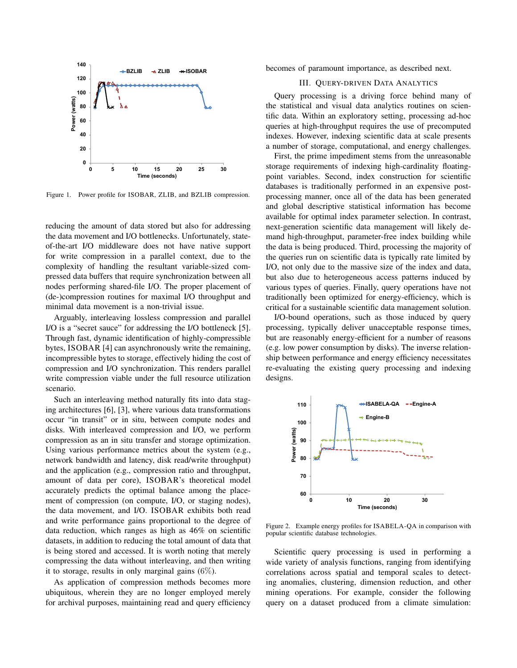

Figure 1. Power profile for ISOBAR, ZLIB, and BZLIB compression.

reducing the amount of data stored but also for addressing the data movement and I/O bottlenecks. Unfortunately, stateof-the-art I/O middleware does not have native support for write compression in a parallel context, due to the complexity of handling the resultant variable-sized compressed data buffers that require synchronization between all nodes performing shared-file I/O. The proper placement of (de-)compression routines for maximal I/O throughput and minimal data movement is a non-trivial issue.

Arguably, interleaving lossless compression and parallel I/O is a "secret sauce" for addressing the I/O bottleneck [5]. Through fast, dynamic identification of highly-compressible bytes, ISOBAR [4] can asynchronously write the remaining, incompressible bytes to storage, effectively hiding the cost of compression and I/O synchronization. This renders parallel write compression viable under the full resource utilization scenario.

Such an interleaving method naturally fits into data staging architectures [6], [3], where various data transformations occur "in transit" or in situ, between compute nodes and disks. With interleaved compression and I/O, we perform compression as an in situ transfer and storage optimization. Using various performance metrics about the system (e.g., network bandwidth and latency, disk read/write throughput) and the application (e.g., compression ratio and throughput, amount of data per core), ISOBAR's theoretical model accurately predicts the optimal balance among the placement of compression (on compute, I/O, or staging nodes), the data movement, and I/O. ISOBAR exhibits both read and write performance gains proportional to the degree of data reduction, which ranges as high as 46% on scientific datasets, in addition to reducing the total amount of data that is being stored and accessed. It is worth noting that merely compressing the data without interleaving, and then writing it to storage, results in only marginal gains  $(6\%)$ .

As application of compression methods becomes more ubiquitous, wherein they are no longer employed merely for archival purposes, maintaining read and query efficiency becomes of paramount importance, as described next.

## III. QUERY-DRIVEN DATA ANALYTICS

Query processing is a driving force behind many of the statistical and visual data analytics routines on scientific data. Within an exploratory setting, processing ad-hoc queries at high-throughput requires the use of precomputed indexes. However, indexing scientific data at scale presents a number of storage, computational, and energy challenges.

First, the prime impediment stems from the unreasonable storage requirements of indexing high-cardinality floatingpoint variables. Second, index construction for scientific databases is traditionally performed in an expensive postprocessing manner, once all of the data has been generated and global descriptive statistical information has become available for optimal index parameter selection. In contrast, next-generation scientific data management will likely demand high-throughput, parameter-free index building while the data is being produced. Third, processing the majority of the queries run on scientific data is typically rate limited by I/O, not only due to the massive size of the index and data, but also due to heterogeneous access patterns induced by various types of queries. Finally, query operations have not traditionally been optimized for energy-efficiency, which is critical for a sustainable scientific data management solution.

I/O-bound operations, such as those induced by query processing, typically deliver unacceptable response times, but are reasonably energy-efficient for a number of reasons (e.g. low power consumption by disks). The inverse relationship between performance and energy efficiency necessitates re-evaluating the existing query processing and indexing designs.



Figure 2. Example energy profiles for ISABELA-QA in comparison with popular scientific database technologies.

Scientific query processing is used in performing a wide variety of analysis functions, ranging from identifying correlations across spatial and temporal scales to detecting anomalies, clustering, dimension reduction, and other mining operations. For example, consider the following query on a dataset produced from a climate simulation: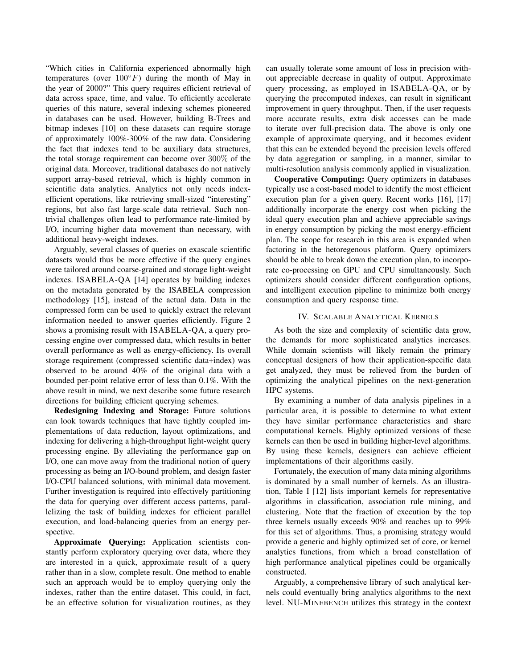"Which cities in California experienced abnormally high temperatures (over  $100°F$ ) during the month of May in the year of 2000?" This query requires efficient retrieval of data across space, time, and value. To efficiently accelerate queries of this nature, several indexing schemes pioneered in databases can be used. However, building B-Trees and bitmap indexes [10] on these datasets can require storage of approximately 100%-300% of the raw data. Considering the fact that indexes tend to be auxiliary data structures, the total storage requirement can become over 300% of the original data. Moreover, traditional databases do not natively support array-based retrieval, which is highly common in scientific data analytics. Analytics not only needs indexefficient operations, like retrieving small-sized "interesting" regions, but also fast large-scale data retrieval. Such nontrivial challenges often lead to performance rate-limited by I/O, incurring higher data movement than necessary, with additional heavy-weight indexes.

Arguably, several classes of queries on exascale scientific datasets would thus be more effective if the query engines were tailored around coarse-grained and storage light-weight indexes. ISABELA-QA [14] operates by building indexes on the metadata generated by the ISABELA compression methodology [15], instead of the actual data. Data in the compressed form can be used to quickly extract the relevant information needed to answer queries efficiently. Figure 2 shows a promising result with ISABELA-QA, a query processing engine over compressed data, which results in better overall performance as well as energy-efficiency. Its overall storage requirement (compressed scientific data+index) was observed to be around 40% of the original data with a bounded per-point relative error of less than 0.1%. With the above result in mind, we next describe some future research directions for building efficient querying schemes.

Redesigning Indexing and Storage: Future solutions can look towards techniques that have tightly coupled implementations of data reduction, layout optimizations, and indexing for delivering a high-throughput light-weight query processing engine. By alleviating the performance gap on I/O, one can move away from the traditional notion of query processing as being an I/O-bound problem, and design faster I/O-CPU balanced solutions, with minimal data movement. Further investigation is required into effectively partitioning the data for querying over different access patterns, parallelizing the task of building indexes for efficient parallel execution, and load-balancing queries from an energy perspective.

Approximate Querying: Application scientists constantly perform exploratory querying over data, where they are interested in a quick, approximate result of a query rather than in a slow, complete result. One method to enable such an approach would be to employ querying only the indexes, rather than the entire dataset. This could, in fact, be an effective solution for visualization routines, as they can usually tolerate some amount of loss in precision without appreciable decrease in quality of output. Approximate query processing, as employed in ISABELA-QA, or by querying the precomputed indexes, can result in significant improvement in query throughput. Then, if the user requests more accurate results, extra disk accesses can be made to iterate over full-precision data. The above is only one example of approximate querying, and it becomes evident that this can be extended beyond the precision levels offered by data aggregation or sampling, in a manner, similar to multi-resolution analysis commonly applied in visualization.

Cooperative Computing: Query optimizers in databases typically use a cost-based model to identify the most efficient execution plan for a given query. Recent works [16], [17] additionally incorporate the energy cost when picking the ideal query execution plan and achieve appreciable savings in energy consumption by picking the most energy-efficient plan. The scope for research in this area is expanded when factoring in the hetoregenous platform. Query optimizers should be able to break down the execution plan, to incorporate co-processing on GPU and CPU simultaneously. Such optimizers should consider different configuration options, and intelligent execution pipeline to minimize both energy consumption and query response time.

#### IV. SCALABLE ANALYTICAL KERNELS

As both the size and complexity of scientific data grow, the demands for more sophisticated analytics increases. While domain scientists will likely remain the primary conceptual designers of how their application-specific data get analyzed, they must be relieved from the burden of optimizing the analytical pipelines on the next-generation HPC systems.

By examining a number of data analysis pipelines in a particular area, it is possible to determine to what extent they have similar performance characteristics and share computational kernels. Highly optimized versions of these kernels can then be used in building higher-level algorithms. By using these kernels, designers can achieve efficient implementations of their algorithms easily.

Fortunately, the execution of many data mining algorithms is dominated by a small number of kernels. As an illustration, Table I [12] lists important kernels for representative algorithms in classification, association rule mining, and clustering. Note that the fraction of execution by the top three kernels usually exceeds 90% and reaches up to 99% for this set of algorithms. Thus, a promising strategy would provide a generic and highly optimized set of core, or kernel analytics functions, from which a broad constellation of high performance analytical pipelines could be organically constructed.

Arguably, a comprehensive library of such analytical kernels could eventually bring analytics algorithms to the next level. NU-MINEBENCH utilizes this strategy in the context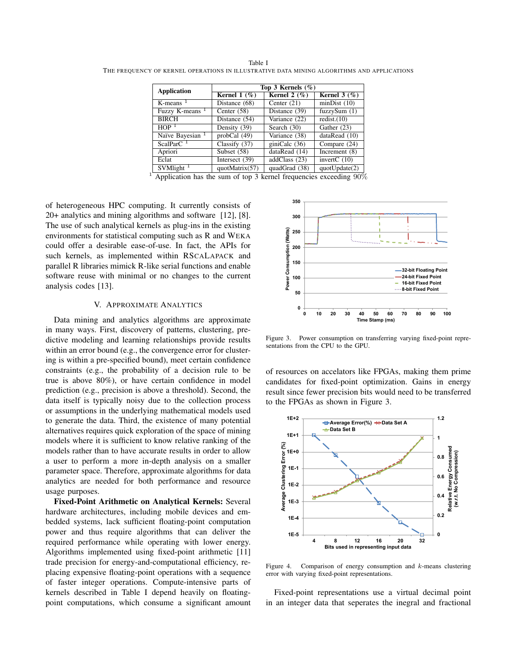| <b>Application</b>          | Top 3 Kernels $(\% )$ |                 |                                  |
|-----------------------------|-----------------------|-----------------|----------------------------------|
|                             | Kernel $1$ (%)        | Kernel 2 $(\%)$ | Kernel $3(%)$                    |
| $K$ -means $1$              | Distance (68)         | Center $(21)$   | $\overline{\text{minDist}}$ (10) |
| Fuzzy K-means $1$           | Center $(58)$         | Distance (39)   | fuzzySum(1)                      |
| <b>BIRCH</b>                | Distance (54)         | Variance (22)   | redist.(10)                      |
| HOP <sup>1</sup>            | Density (39)          | Search $(30)$   | Gather (23)                      |
| Naïve Bayesian <sup>1</sup> | probCal(49)           | Variance (38)   | dataRead(10)                     |
| ScalPar $C1$                | Classify $(37)$       | giniCalc $(36)$ | Compare (24)                     |
| Apriori                     | Subset $(58)$         | dataRead (14)   | Increment $(8)$                  |
| Eclat                       | Intersect (39)        | addClass(23)    | invert $C(10)$                   |
| $SVMlight^{-1}$             | quotMatrix(57)        | quadGrad (38)   | quotUpdate(2)                    |

Table I THE FREQUENCY OF KERNEL OPERATIONS IN ILLUSTRATIVE DATA MINING ALGORITHMS AND APPLICATIONS

<sup>1</sup> Application has the sum of top 3 kernel frequencies exceeding  $90\%$ 

of heterogeneous HPC computing. It currently consists of 20+ analytics and mining algorithms and software [12], [8]. The use of such analytical kernels as plug-ins in the existing environments for statistical computing such as R and WEKA could offer a desirable ease-of-use. In fact, the APIs for such kernels, as implemented within RSCALAPACK and parallel R libraries mimick R-like serial functions and enable software reuse with minimal or no changes to the current analysis codes [13].

#### V. APPROXIMATE ANALYTICS

Data mining and analytics algorithms are approximate in many ways. First, discovery of patterns, clustering, predictive modeling and learning relationships provide results within an error bound (e.g., the convergence error for clustering is within a pre-specified bound), meet certain confidence constraints (e.g., the probability of a decision rule to be true is above 80%), or have certain confidence in model prediction (e.g., precision is above a threshold). Second, the data itself is typically noisy due to the collection process or assumptions in the underlying mathematical models used to generate the data. Third, the existence of many potential alternatives requires quick exploration of the space of mining models where it is sufficient to know relative ranking of the models rather than to have accurate results in order to allow a user to perform a more in-depth analysis on a smaller parameter space. Therefore, approximate algorithms for data analytics are needed for both performance and resource usage purposes. **Example 11 CALL CONDURATE ATTENT CONDUCE ANCELT CALL**<br>
in many ways. First, discovery of patterns, clustering, pre-<br>
dictive modeling and learning relationships provide results<br>
<sup>8</sup><br>
within an erro bound (e.g., the pro

Fixed-Point Arithmetic on Analytical Kernels: Several hardware architectures, including mobile devices and embedded systems, lack sufficient floating-point computation power and thus require algorithms that can deliver the required performance while operating with lower energy. Algorithms implemented using fixed-point arithmetic [11] trade precision for energy-and-computational efficiency, replacing expensive floating-point operations with a sequence of faster integer operations. Compute-intensive parts of kernels described in Table I depend heavily on floating-



Figure 3. Power consumption on transferring varying fixed-point representations from the CPU to the GPU.

of resources on accelators like FPGAs, making them prime candidates for fixed-point optimization. Gains in energy result since fewer precision bits would need to be transferred to the FPGAs as shown in Figure 3.



Figure 4. Comparison of energy consumption and  $k$ -means clustering error with varying fixed-point representations.

Fixed-point representations use a virtual decimal point in an integer data that seperates the inegral and fractional